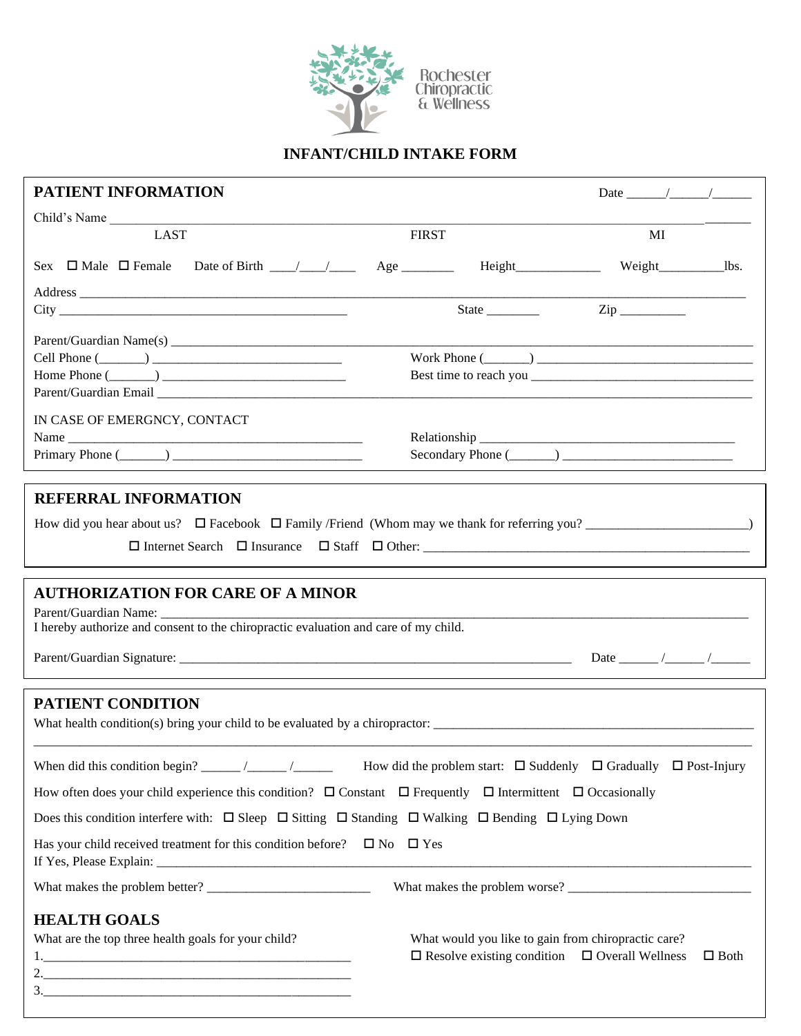

## **INFANT/CHILD INTAKE FORM**

| PATIENT INFORMATION                                                                                                                                      |                                                                                                                  |             |  |
|----------------------------------------------------------------------------------------------------------------------------------------------------------|------------------------------------------------------------------------------------------------------------------|-------------|--|
| Child's Name                                                                                                                                             |                                                                                                                  |             |  |
| <b>LAST</b>                                                                                                                                              | <b>FIRST</b>                                                                                                     | MI          |  |
| Sex $\Box$ Male $\Box$ Female Date of Birth $\_\_\_\_\_\_\_\_\_\$ Age $\_\_\_\_\$ Height $\_\_\_\_\_\_\_\$ Weight $\_\_\_\_\_\_\$ Us.                    |                                                                                                                  |             |  |
|                                                                                                                                                          | State $\frac{Zip}{\frac{1}{2}i}$                                                                                 |             |  |
| Cell Phone $(\_\_)$<br>Home Phone $(\_\_)$                                                                                                               |                                                                                                                  |             |  |
| IN CASE OF EMERGNCY, CONTACT<br>Primary Phone $(\_\_)$                                                                                                   |                                                                                                                  |             |  |
| <b>REFERRAL INFORMATION</b>                                                                                                                              |                                                                                                                  |             |  |
|                                                                                                                                                          |                                                                                                                  |             |  |
| <b>AUTHORIZATION FOR CARE OF A MINOR</b><br>Parent/Guardian Name:<br>I hereby authorize and consent to the chiropractic evaluation and care of my child. |                                                                                                                  |             |  |
| PATIENT CONDITION                                                                                                                                        |                                                                                                                  |             |  |
|                                                                                                                                                          |                                                                                                                  |             |  |
| How often does your child experience this condition? $\Box$ Constant $\Box$ Frequently $\Box$ Intermittent $\Box$ Occasionally                           |                                                                                                                  |             |  |
| Does this condition interfere with: $\Box$ Sleep $\Box$ Sitting $\Box$ Standing $\Box$ Walking $\Box$ Bending $\Box$ Lying Down                          |                                                                                                                  |             |  |
| Has your child received treatment for this condition before? $\Box$ No $\Box$ Yes                                                                        |                                                                                                                  |             |  |
|                                                                                                                                                          |                                                                                                                  |             |  |
| <b>HEALTH GOALS</b><br>What are the top three health goals for your child?                                                                               | What would you like to gain from chiropractic care?<br>$\Box$ Resolve existing condition $\Box$ Overall Wellness | $\Box$ Both |  |